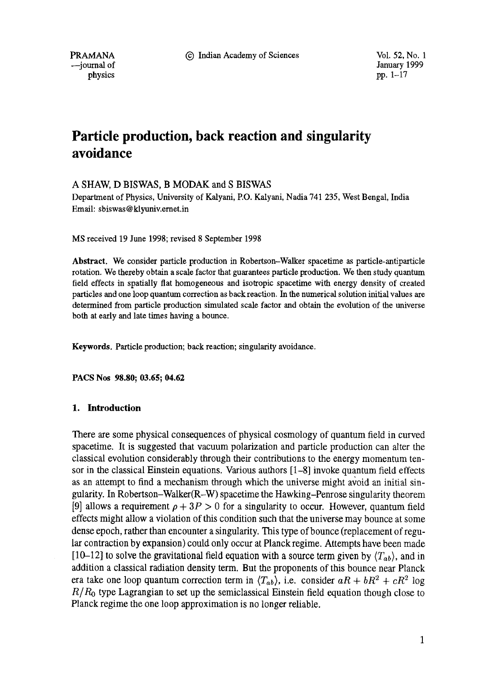PRAMANA  $\odot$  Indian Academy of Sciences Vol. 52, No. 1

--journal of January 1999<br>physics pp. 1–17 physics pp. 1–17

# **Particle production, back reaction and singularity avoidance**

# A SHAW, D BISWAS, B MODAK and S BISWAS

Department of Physics, University of Kalyani, P.O. Kalyani, Nadia 741 235, West Bengal, India Email: sbiswas @ klyuniv.ernet.in

MS received 19 June 1998; revised 8 September 1998

**Abstract.** We consider particle production in Robertson-Walker spacetime as particle-antiparticle rotation. We thereby obtain a scale factor that guarantees particle production. We then study quantum field effects in spatially flat homogeneous and isotropic spacetime with energy density of created particles and one loop quantum correction as back reaction. In the numerical solution initial values are determined from particle production simulated scale factor and obtain the evolution of the universe both at early and late times having a bounce.

**Keywords.** Particle production; back reaction; singularity avoidance.

**PACS Nos 98.80; 03.65; 04.62** 

# **1. Introduction**

There are some physical consequences of physical cosmology of quantum field in curved spacetime. It is suggested that vacuum polarization and particle production can alter the classical evolution considerably through their contributions to the energy momentum tensor in the classical Einstein equations. Various authors [1-8] invoke quantum field effects as an attempt to find a mechanism through which the universe might avoid an initial singularity. In Robertson-Walker(R-W) spacetime the Hawking-Penrose singularity theorem [9] allows a requirement  $\rho + 3P > 0$  for a singularity to occur. However, quantum field effects might allow a violation of this condition such that the universe may bounce at some dense epoch, rather than encounter a singularity. This type of bounce (replacement of regular contraction by expansion) could only occur at Planck regime. Attempts have been made [10-12] to solve the gravitational field equation with a source term given by  $\langle T_{ab} \rangle$ , and in addition a classical radiation density term. But the proponents of this bounce near Planck era take one loop quantum correction term in  $\langle T_{ab} \rangle$ , i.e. consider  $aR + bR^2 + cR^2$  log *R/Ro* type Lagrangian to set up the semiclassical Einstein field equation though close to Planck regime the one loop approximation is no longer reliable.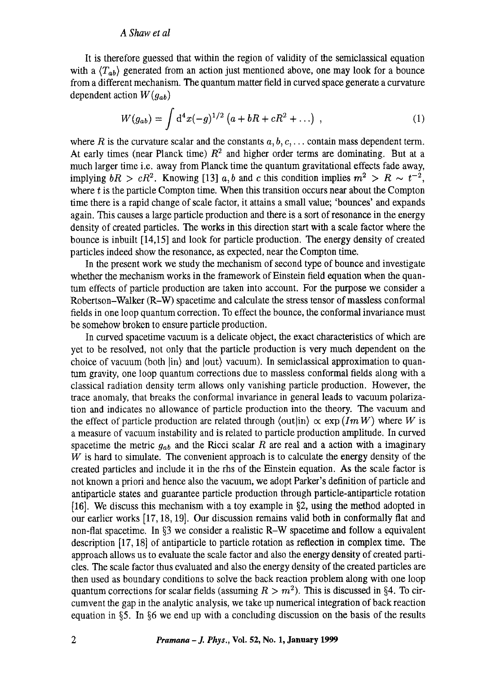It is therefore guessed that within the region of validity of the semiclassical equation with a  $\langle T_{ab} \rangle$  generated from an action just mentioned above, one may look for a bounce from a different mechanism. The quantum matter field in curved space generate a curvature dependent action *W(gab)* 

$$
W(g_{ab}) = \int d^4x (-g)^{1/2} (a + bR + cR^2 + ...) ,
$$
 (1)

where R is the curvature scalar and the constants  $a, b, c, \ldots$  contain mass dependent term. At early times (near Planck time)  $R<sup>2</sup>$  and higher order terms are dominating. But at a much larger time i.e. away from Planck time the quantum gravitational effects fade away, implying  $bR > cR^2$ . Knowing [13] a, b and c this condition implies  $m^2 > R \sim t^{-2}$ , where t is the particle Compton time. When this transition occurs near about the Compton time there is a rapid change of scale factor, it attains a small value; 'bounces' and expands again. This causes a large particle production and there is a sort of resonance in the energy density of created particles. The works in this direction start with a scale factor where the bounce is inbuilt [14,15] and look for particle production. The energy density of created particles indeed show the resonance, as expected, near the Compton time.

In the present work we study the mechanism of second type of bounce and investigate whether the mechanism works in the framework of Einstein field equation when the quantum effects of particle production are taken into account. For the purpose we consider a Robertson-Walker (R-W) spacetime and calculate the stress tensor of massless conformal fields in one loop quantum correction. To effect the bounce, the conformal invariance must be somehow broken to ensure particle production.

In curved spacetime vacuum is a delicate object, the exact characteristics of which are yet to be resolved, not only that the particle production is very much dependent on the choice of vacuum (both lin} and lout) vacuum). In semiclassical approximation to quantum gravity, one loop quantum corrections due to massless conformal fields along with a classical radiation density term allows only vanishing particle production. However, the trace anomaly, that breaks the conformal invariance in general leads to vacuum polarization and indicates no allowance of particle production into the theory. The vacuum and the effect of particle production are related through  $\langle \text{out} | \text{in} \rangle \propto \exp \left(Im W \right)$  where W is a measure of vacuum instability and is related to particle production amplitude. In curved spacetime the metric  $g_{ab}$  and the Ricci scalar R are real and a action with a imaginary  $W$  is hard to simulate. The convenient approach is to calculate the energy density of the created particles and include it in the rhs of the Einstein equation. As the scale factor is not known a priori and hence also the vacuum, we adopt Parker's definition of particle and antiparticle states and guarantee particle production through particle-antiparticle rotation [16]. We discuss this mechanism with a toy example in  $\S2$ , using the method adopted in our earlier works [17, 18, 19]. Our discussion remains valid both in conformally flat and non-flat spacetime. In  $\S$ 3 we consider a realistic R-W spacetime and follow a equivalent description [17, 18] of antiparticle to particle rotation as reflection in complex time. The approach allows us to evaluate the scale factor and also the energy density of created particles. The scale factor thus evaluated and also the energy density of the created particles are then used as boundary conditions to solve the back reaction problem along with one loop quantum corrections for scalar fields (assuming  $R > m<sup>2</sup>$ ). This is discussed in §4. To circumvent the gap in the analytic analysis, we take up numerical integration of back reaction equation in  $\S5$ . In  $\S6$  we end up with a concluding discussion on the basis of the results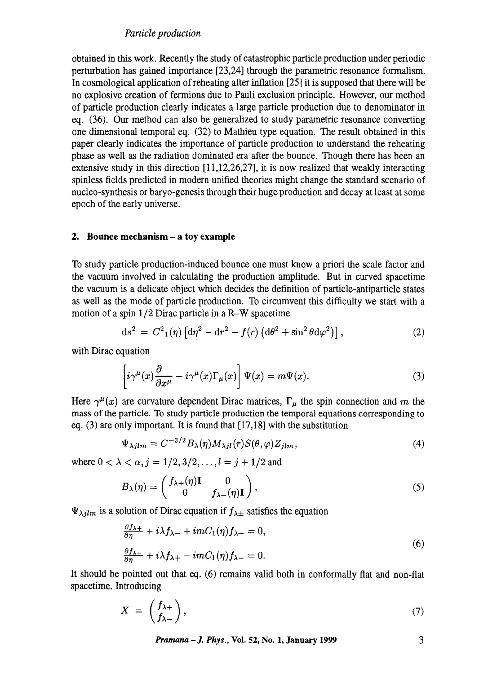obtained in this work. Recently the study of catastrophic particle production under periodic perturbation has gained importance [23,24] through the parametric resonance formalism. In cosmological application of reheating after inflation [25] it is supposed that there will be no explosive creation of fermions due to Pauli exclusion principle. However, our method of particle production clearly indicates a large particle production due to denominator in eq. (36). Our method can also be generalized to study parametric resonance converting one dimensional temporal eq. (32) to Mathieu type equation. The result obtained in this paper clearly indicates the importance of particle production to understand the reheating phase as well as the radiation dominated era after the bounce. Though there has been an extensive study in this direction [11,12,26,27], it is now realized that weakly interacting spinless fields predicted in modern unified theories might change the standard scenario of nucteo-synthesis or baryo-genesis through their huge production and decay at least at some epoch of the early universe.

# **2. Bounce mechanism - a toy example**

To study particle production-induced bounce one must know a priori the scale factor and the vacuum involved in calculating the production amplitude. But in curved spacetime the vacuum is a delicate object which decides the definition of particle-antiparticle states as well as the mode of particle production. To circumvent this difficulty we start with a motion of a spin *1/2* Dirac particle in a R-W spacetime

$$
ds^{2} = C^{2}{}_{1}(\eta) \left[ d\eta^{2} - dr^{2} - f(r) \left( d\theta^{2} + \sin^{2}\theta d\varphi^{2} \right) \right], \tag{2}
$$

with Dirac equation

$$
\left[i\gamma^{\mu}(x)\frac{\partial}{\partial x^{\mu}} - i\gamma^{\mu}(x)\Gamma_{\mu}(x)\right]\Psi(x) = m\Psi(x). \tag{3}
$$

Here  $\gamma^{\mu}(x)$  are curvature dependent Dirac matrices,  $\Gamma_{\mu}$  the spin connection and m the mass of the particle. To study particle production the temporal equations corresponding to eq. (3) are only important. It is found that [17,18] with the substitution

$$
\Psi_{\lambda jlm} = C^{-3/2} B_{\lambda}(\eta) M_{\lambda jl}(r) S(\theta, \varphi) Z_{jlm}, \qquad (4)
$$

where  $0 < \lambda < \alpha, j = 1/2, 3/2, \ldots, l = j + 1/2$  and

$$
B_{\lambda}(\eta) = \begin{pmatrix} f_{\lambda+}(\eta) \mathbf{I} & 0 \\ 0 & f_{\lambda-}(\eta) \mathbf{I} \end{pmatrix},\tag{5}
$$

 $\Psi_{\lambda jlm}$  is a solution of Dirac equation if  $f_{\lambda\pm}$  satisfies the equation

$$
\frac{\partial f_{\lambda+}}{\partial \eta} + i\lambda f_{\lambda-} + imC_1(\eta) f_{\lambda+} = 0,
$$
  

$$
\frac{\partial f_{\lambda-}}{\partial \eta} + i\lambda f_{\lambda+} - imC_1(\eta) f_{\lambda-} = 0.
$$
 (6)

It should be pointed out that eq. (6) remains valid both in conformally flat and non-flat spacetime. Introducing

$$
X = \begin{pmatrix} f_{\lambda+} \\ f_{\lambda-} \end{pmatrix},\tag{7}
$$

*Pramana – J. Phys.*, Vol. 52, No. 1, January 1999 3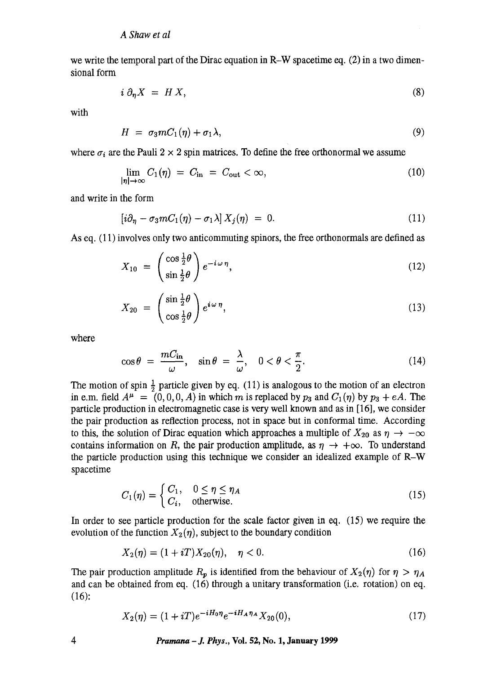we write the temporal part of the Dirac equation in R-W spacetime eq.  $(2)$  in a two dimensional form

$$
i \partial_{\eta} X = H X, \tag{8}
$$

with

$$
H = \sigma_3 m C_1(\eta) + \sigma_1 \lambda, \qquad (9)
$$

where  $\sigma_i$  are the Pauli 2 x 2 spin matrices. To define the free orthonormal we assume

$$
\lim_{|\eta| \to \infty} C_1(\eta) = C_{\text{in}} = C_{\text{out}} < \infty, \tag{10}
$$

and write in the form

$$
[i\partial_{\eta} - \sigma_3 m C_1(\eta) - \sigma_1 \lambda] X_j(\eta) = 0. \qquad (11)
$$

As eq. (11) involves only two anticommuting spinors, the free orthonormals are defined as

$$
X_{10} = \left(\frac{\cos\frac{1}{2}\theta}{\sin\frac{1}{2}\theta}\right)e^{-i\omega\eta},\tag{12}
$$

$$
X_{20} = \left(\frac{\sin\frac{1}{2}\theta}{\cos\frac{1}{2}\theta}\right)e^{i\omega\eta},\tag{13}
$$

where

$$
\cos \theta = \frac{mC_{\rm in}}{\omega}, \quad \sin \theta = \frac{\lambda}{\omega}, \quad 0 < \theta < \frac{\pi}{2}.\tag{14}
$$

The motion of spin  $\frac{1}{2}$  particle given by eq. (11) is analogous to the motion of an electron in e.m. field  $A^{\mu} = (0, 0, 0, A)$  in which m is replaced by  $p_3$  and  $C_1(\eta)$  by  $p_3 + eA$ . The particle production in electromagnetic case is very well known and as in [16], we consider the pair production as reflection process, not in space but in conformal time. According to this, the solution of Dirac equation which approaches a multiple of  $X_{20}$  as  $\eta \to -\infty$ contains information on R, the pair production amplitude, as  $\eta \rightarrow +\infty$ . To understand the particle production using this technique we consider an idealized example of R-W spacetime

$$
C_1(\eta) = \begin{cases} C_1, & 0 \le \eta \le \eta_A \\ C_i, & \text{otherwise.} \end{cases}
$$
 (15)

In order to see particle production for the scale factor given in eq. (15) we require the evolution of the function  $X_2(\eta)$ , subject to the boundary condition

$$
X_2(\eta) = (1 + iT)X_{20}(\eta), \quad \eta < 0. \tag{16}
$$

The pair production amplitude  $R_p$  is identified from the behaviour of  $X_2(\eta)$  for  $\eta > \eta_A$ and can be obtained from eq. (16) through a unitary transformation (i.e. rotation) on eq. (16):

$$
X_2(\eta) = (1 + iT)e^{-iH_0\eta}e^{-iH_A\eta_A}X_{20}(0),\tag{17}
$$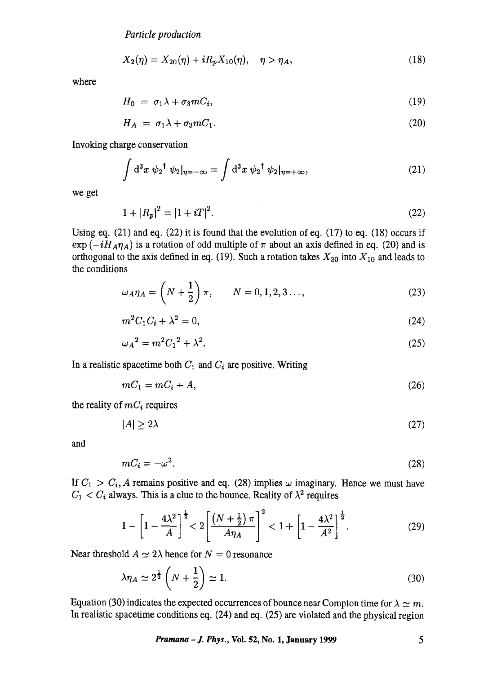$$
X_2(\eta) = X_{20}(\eta) + iR_p X_{10}(\eta), \quad \eta > \eta_A, \tag{18}
$$

where

$$
H_0 = \sigma_1 \lambda + \sigma_3 m C_i, \tag{19}
$$

$$
H_A = \sigma_1 \lambda + \sigma_3 m C_1. \tag{20}
$$

Invoking charge conservation

$$
\int d^3x \psi_2^{\dagger} \psi_2|_{\eta=-\infty} = \int d^3x \psi_2^{\dagger} \psi_2|_{\eta=+\infty},\tag{21}
$$

we get

$$
1 + |R_p|^2 = |1 + iT|^2. \tag{22}
$$

Using eq.  $(21)$  and eq.  $(22)$  it is found that the evolution of eq.  $(17)$  to eq.  $(18)$  occurs if  $\exp(-iH_A\eta_A)$  is a rotation of odd multiple of  $\pi$  about an axis defined in eq. (20) and is orthogonal to the axis defined in eq. (19). Such a rotation takes  $X_{20}$  into  $X_{10}$  and leads to the conditions

$$
\omega_A \eta_A = \left( N + \frac{1}{2} \right) \pi, \qquad N = 0, 1, 2, 3 \dots,
$$
 (23)

$$
m^2C_1C_i + \lambda^2 = 0,\t\t(24)
$$

$$
\omega_A{}^2 = m^2 C_1{}^2 + \lambda^2. \tag{25}
$$

In a realistic spacetime both  $C_1$  and  $C_i$  are positive. Writing

$$
mC_1 = mC_i + A,\t\t(26)
$$

the reality of  $m_i$  requires

$$
|A| \ge 2\lambda \tag{27}
$$

and

$$
mC_i = -\omega^2. \tag{28}
$$

If  $C_1 > C_i$ , A remains positive and eq. (28) implies  $\omega$  imaginary. Hence we must have  $C_1 < C_i$  always. This is a clue to the bounce. Reality of  $\lambda^2$  requires

$$
1 - \left[1 - \frac{4\lambda^2}{A}\right]^{\frac{1}{2}} < 2\left[\frac{\left(N + \frac{1}{2}\right)\pi}{A\eta_A}\right]^2 < 1 + \left[1 - \frac{4\lambda^2}{A^2}\right]^{\frac{1}{2}}.
$$
 (29)

Near threshold  $A \simeq 2\lambda$  hence for  $N = 0$  resonance

$$
\lambda \eta_A \simeq 2^{\frac{1}{2}} \left( N + \frac{1}{2} \right) \simeq 1. \tag{30}
$$

Equation (30) indicates the expected occurrences of bounce near Compton time for  $\lambda \simeq m$ . In realistic spacetime conditions eq. (24) and eq. (25) are violated and the physical region

*Pramana – J. Phys.*, *Vol.* 52, *No.* 1, January 1999 5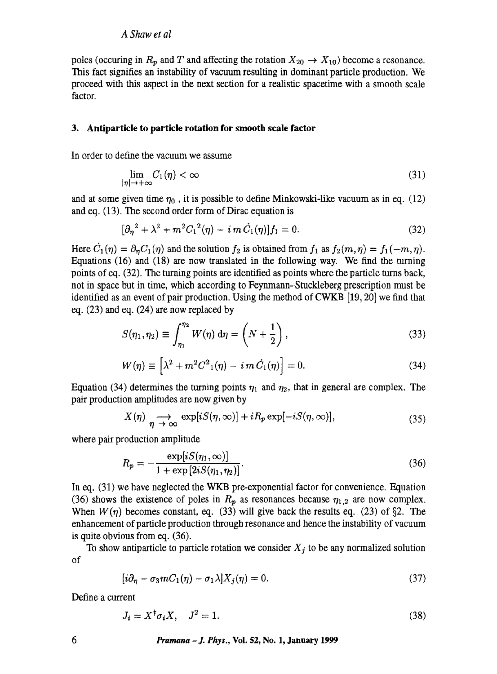poles (occuring in  $R_p$  and T and affecting the rotation  $X_{20} \rightarrow X_{10}$ ) become a resonance. This fact signifies an instability of vacuum resulting in dominant particle production. We proceed with this aspect in the next section for a realistic spacetime with a smooth scale factor.

## **3. Antiparticle to particle rotation for smooth scale factor**

In order to define the vacuum we assume

$$
\lim_{|\eta| \to +\infty} C_1(\eta) < \infty \tag{31}
$$

and at some given time  $\eta_0$ , it is possible to define Minkowski-like vacuum as in eq. (12) and eq. (13). The second order form of Dirac equation is

$$
[\partial_{\eta}^{2} + \lambda^{2} + m^{2} C_{1}^{2}(\eta) - i m C_{1}(\eta)]f_{1} = 0.
$$
 (32)

Here  $\dot{C}_1(\eta) = \partial_n C_1(\eta)$  and the solution  $f_2$  is obtained from  $f_1$  as  $f_2(m, \eta) = f_1(-m, \eta)$ . Equations (16) and (18) are now translated in the following way. We find the turning points of eq. (32). The turning points are identified as points where the particle turns back, not in space but in time, which according to Feynmann--Stuckleberg prescription must be identified as an event of pair production. Using the method of CWKB [19, 20] we find that eq.  $(23)$  and eq.  $(24)$  are now replaced by

$$
S(\eta_1, \eta_2) \equiv \int_{\eta_1}^{\eta_2} W(\eta) \, \mathrm{d}\eta = \left(N + \frac{1}{2}\right),\tag{33}
$$

$$
W(\eta) \equiv \left[\lambda^2 + m^2 C^2(1(\eta) - i m C_1(\eta)\right] = 0.
$$
 (34)

Equation (34) determines the turning points  $\eta_1$  and  $\eta_2$ , that in general are complex. The pair production amplitudes are now given by

$$
X(\eta) \underset{\eta \to \infty}{\longrightarrow} \exp[iS(\eta, \infty)] + iR_p \exp[-iS(\eta, \infty)], \tag{35}
$$

where pair production amplitude

$$
R_p = -\frac{\exp[iS(\eta_1, \infty)]}{1 + \exp[2iS(\eta_1, \eta_2)]}.
$$
\n(36)

In eq. (31) we have neglected the WKB pre-exponential factor for convenience. Equation (36) shows the existence of poles in  $R_p$  as resonances because  $\eta_{1,2}$  are now complex. When  $W(\eta)$  becomes constant, eq. (33) will give back the results eq. (23) of §2. The enhancement of particle production through resonance and hence the instability of vacuum is quite obvious from eq. (36).

To show antiparticle to particle rotation we consider  $X_j$  to be any normalized solution of

$$
[i\partial_{\eta} - \sigma_3 m C_1(\eta) - \sigma_1 \lambda] X_j(\eta) = 0. \tag{37}
$$

Define a current

$$
J_i = X^{\dagger} \sigma_i X, \quad J^2 = 1. \tag{38}
$$

*6 Pramana -J. Phys.,* **Vol. 52, No. 1, January 1999**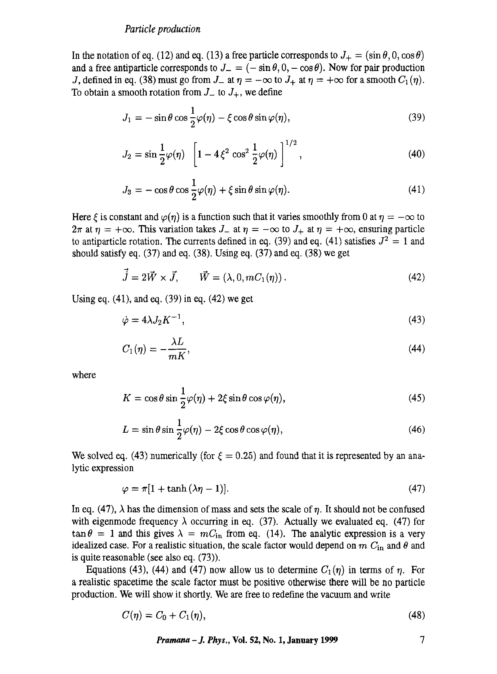In the notation of eq. (12) and eq. (13) a free particle corresponds to  $J_{+} = (\sin \theta, 0, \cos \theta)$ and a free antiparticle corresponds to  $J = (-\sin \theta, 0, -\cos \theta)$ . Now for pair production J, defined in eq. (38) must go from  $J_-$  at  $\eta = -\infty$  to  $J_+$  at  $\eta = +\infty$  for a smooth  $C_1(\eta)$ . To obtain a smooth rotation from  $J_{-}$  to  $J_{+}$ , we define

$$
J_1 = -\sin\theta\cos\frac{1}{2}\varphi(\eta) - \xi\cos\theta\sin\varphi(\eta),\tag{39}
$$

$$
J_2 = \sin \frac{1}{2} \varphi(\eta) \left[ 1 - 4 \xi^2 \cos^2 \frac{1}{2} \varphi(\eta) \right]^{1/2}, \tag{40}
$$

$$
J_3 = -\cos\theta\cos\frac{1}{2}\varphi(\eta) + \xi\sin\theta\sin\varphi(\eta). \tag{41}
$$

Here  $\epsilon$  is constant and  $\varphi(n)$  is a function such that it varies smoothly from 0 at  $\eta = -\infty$  to  $2\pi$  at  $\eta = +\infty$ . This variation takes  $J_-$  at  $\eta = -\infty$  to  $J_+$  at  $\eta = +\infty$ , ensuring particle to antiparticle rotation. The currents defined in eq. (39) and eq. (41) satisfies  $J^2 = 1$  and should satisfy eq. (37) and eq. (38). Using eq. (37) and eq. (38) we get

$$
\vec{j} = 2\vec{W} \times \vec{J}, \qquad \vec{W} = (\lambda, 0, mC_1(\eta)). \qquad (42)
$$

Using eq.  $(41)$ , and eq.  $(39)$  in eq.  $(42)$  we get

$$
\dot{\varphi} = 4\lambda J_2 K^{-1},\tag{43}
$$

$$
C_1(\eta) = -\frac{\lambda L}{mK},\tag{44}
$$

where

$$
K = \cos \theta \sin \frac{1}{2} \varphi(\eta) + 2\xi \sin \theta \cos \varphi(\eta), \qquad (45)
$$

$$
L = \sin \theta \sin \frac{1}{2} \varphi(\eta) - 2\xi \cos \theta \cos \varphi(\eta), \qquad (46)
$$

We solved eq. (43) numerically (for  $\xi = 0.25$ ) and found that it is represented by an analytic expression

$$
\varphi = \pi [1 + \tanh (\lambda \eta - 1)]. \tag{47}
$$

In eq. (47),  $\lambda$  has the dimension of mass and sets the scale of *n*. It should not be confused with eigenmode frequency  $\lambda$  occurring in eq. (37). Actually we evaluated eq. (47) for  $\tan \theta = 1$  and this gives  $\lambda = mC_{\text{in}}$  from eq. (14). The analytic expression is a very idealized case. For a realistic situation, the scale factor would depend on  $m C_{\text{in}}$  and  $\theta$  and is quite reasonable (see also eq. (73)).

Equations (43), (44) and (47) now allow us to determine  $C_1(\eta)$  in terms of  $\eta$ . For a realistic spacetime the scale factor must be positive otherwise there will be no particle production. We will show it shortly. We are free to redefine the vacuum and write

$$
C(\eta) = C_0 + C_1(\eta), \tag{48}
$$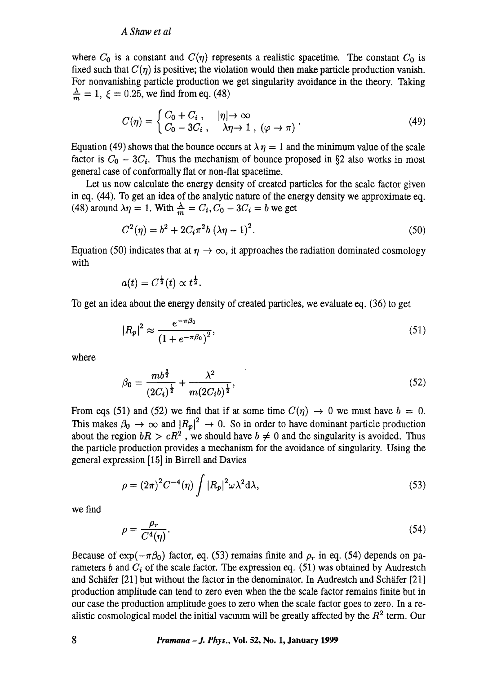where  $C_0$  is a constant and  $C(\eta)$  represents a realistic spacetime. The constant  $C_0$  is fixed such that  $C(\eta)$  is positive; the violation would then make particle production vanish. For nonvanishing particle production we get singularity avoidance in the theory. Taking  $\frac{\lambda}{m} = 1, \xi = 0.25$ , we find from eq. (48)

$$
C(\eta) = \begin{cases} C_0 + C_i, & |\eta| \to \infty \\ C_0 - 3C_i, & \lambda \eta \to 1, \ (\varphi \to \pi) \end{cases} (49)
$$

Equation (49) shows that the bounce occurs at  $\lambda \eta = 1$  and the minimum value of the scale factor is  $C_0 - 3C_i$ . Thus the mechanism of bounce proposed in §2 also works in most general case of conformaUy fiat or non-flat spacetime.

Let us now calculate the energy density of created particles for the scale factor given in eq. (44). To get an idea of the analytic nature of the energy density we approximate eq. (48) around  $\lambda \eta = 1$ . With  $\frac{\lambda}{m} = C_i$ ,  $C_0 - 3C_i = b$  we get

$$
C^{2}(\eta) = b^{2} + 2C_{i}\pi^{2}b (\lambda\eta - 1)^{2}.
$$
 (50)

Equation (50) indicates that at  $\eta \to \infty$ , it approaches the radiation dominated cosmology with

$$
a(t)=C^{\frac{1}{2}}(t)\propto t^{\frac{1}{2}}.
$$

To get an idea about the energy density of created particles, we evaluate eq. (36) to get

$$
|R_p|^2 \approx \frac{e^{-\pi\beta_0}}{\left(1 + e^{-\pi\beta_0}\right)^2},\tag{51}
$$

where

$$
\beta_0 = \frac{mb^{\frac{3}{2}}}{(2C_i)^{\frac{1}{2}}} + \frac{\lambda^2}{m(2C_i b)^{\frac{1}{2}}},\tag{52}
$$

From eqs (51) and (52) we find that if at some time  $C(\eta) \rightarrow 0$  we must have  $b = 0$ . This makes  $\beta_0 \to \infty$  and  $|R_p|^2 \to 0$ . So in order to have dominant particle production about the region  $bR > cR^2$ , we should have  $b \neq 0$  and the singularity is avoided. Thus the particle production provides a mechanism for the avoidance of singularity. Using the general expression [15] in Birrell and Davies

$$
\rho = (2\pi)^2 C^{-4}(\eta) \int |R_p|^2 \omega \lambda^2 d\lambda,
$$
\n(53)

we find

$$
\rho = \frac{\rho_r}{C^4(\eta)}.\tag{54}
$$

Because of  $\exp(-\pi\beta_0)$  factor, eq. (53) remains finite and  $\rho_r$  in eq. (54) depends on parameters b and  $C_i$  of the scale factor. The expression eq. (51) was obtained by Audrestch and Schäfer  $[21]$  but without the factor in the denominator. In Audrestch and Schäfer  $[21]$ production amplitude can tend to zero even when the the scale factor remains finite but in our case the production amplitude goes to zero when the scale factor goes to zero. In a realistic cosmological model the initial vacuum will be greatly affected by the  $R<sup>2</sup>$  term. Our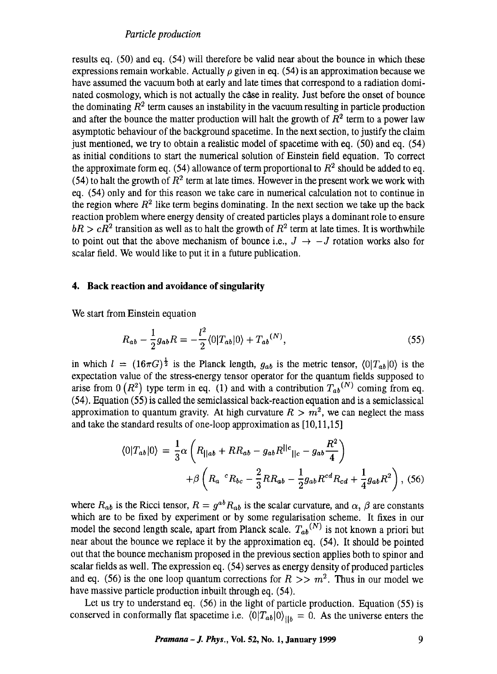results eq. (50) and eq. (54) will therefore be valid near about the bounce in which these expressions remain workable. Actually  $\rho$  given in eq. (54) is an approximation because we have assumed the vacuum both at early and late times that correspond to a radiation dominated cosmology, which is not actually the case in reality. Just before the onset of bounce the dominating  $R<sup>2</sup>$  term causes an instability in the vacuum resulting in particle production and after the bounce the matter production will halt the growth of  $R<sup>2</sup>$  term to a power law asymptotic behaviour of the background spacetime. In the next section, to justify the claim just mentioned, we try to obtain a realistic model of spacetime with eq. (50) and eq. (54) as initial conditions to start the numerical solution of Einstein field equation. To correct the approximate form eq. (54) allowance of term proportional to  $R<sup>2</sup>$  should be added to eq. (54) to halt the growth of  $R^2$  term at late times. However in the present work we work with eq. (54) only and for this reason we take care in numerical calculation not to continue in the region where  $R<sup>2</sup>$  like term begins dominating. In the next section we take up the back reaction problem where energy density of created particles plays a dominant role to ensure  $bR > cR<sup>2</sup>$  transition as well as to halt the growth of  $R<sup>2</sup>$  term at late times. It is worthwhile to point out that the above mechanism of bounce i.e.,  $J \rightarrow -J$  rotation works also for scalar field. We would like to put it in a future publication.

# **4. Back reaction and avoidance of singularity**

We start from Einstein equation

$$
R_{ab} - \frac{1}{2}g_{ab}R = -\frac{l^2}{2}\langle 0|T_{ab}|0\rangle + T_{ab}^{(N)},
$$
\n(55)

in which  $l = (16\pi G)^{\frac{1}{2}}$  is the Planck length,  $g_{ab}$  is the metric tensor,  $\langle 0|T_{ab}|0\rangle$  is the expectation value of the stress-energy tensor operator for the quantum fields supposed to arise from 0  $(R^2)$  type term in eq. (1) and with a contribution  $T_{ab}^{(N)}$  coming from eq. (54). Equation (55) is called the semiclassical back-reaction equation and is a semiclassical approximation to quantum gravity. At high curvature  $R > m^2$ , we can neglect the mass and take the standard results of one-loop approximation as [10,11,15]

$$
\langle 0|T_{ab}|0\rangle = \frac{1}{3}\alpha \left( R_{||ab} + RR_{ab} - g_{ab}R^{||c}||_{c} - g_{ab}\frac{R^{2}}{4} \right) + \beta \left( R_{a} {}^{c}R_{bc} - \frac{2}{3}RR_{ab} - \frac{1}{2}g_{ab}R^{cd}R_{cd} + \frac{1}{4}g_{ab}R^{2} \right),
$$
 (56)

where  $R_{ab}$  is the Ricci tensor,  $R = g^{ab}R_{ab}$  is the scalar curvature, and  $\alpha$ ,  $\beta$  are constants which are to be fixed by experiment or by some regularisation scheme. It fixes in our model the second length scale, apart from Planck scale.  $T_{ab}^{(N)}$  is not known a priori but near about the bounce we replace it by the approximation eq. (54). It should be pointed out that the bounce mechanism proposed in the previous section applies both to spinor and scalar fields as well. The expression eq. (54) serves as energy density of produced particles and eq. (56) is the one loop quantum corrections for  $R >> m^2$ . Thus in our model we have massive particle production inbuilt through eq. (54).

Let us try to understand eq. (56) in the light of particle production. Equation (55) is conserved in conformally flat spacetime i.e.  $\langle 0|T_{ab}|0\rangle_{||b} = 0$ . As the universe enters the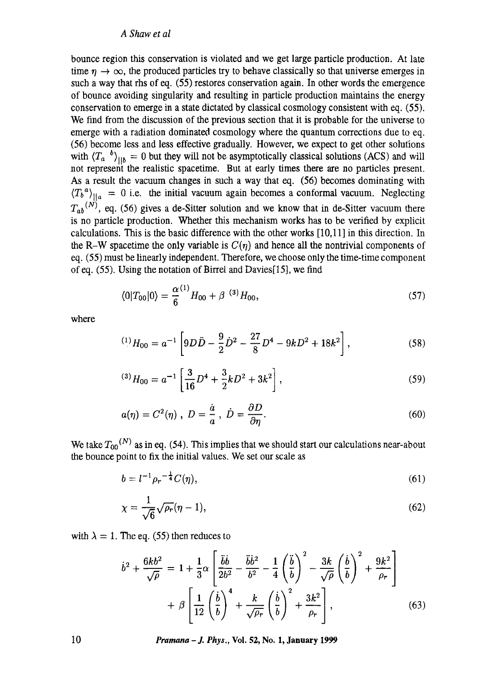bounce region this conservation is violated and we get large particle production. At late time  $\eta \to \infty$ , the produced particles try to behave classically so that universe emerges in such a way that rhs of eq. (55) restores conservation again. In other words the emergence of bounce avoiding singularity and resulting in particle production maintains the energy conservation to emerge in a state dictated by classical cosmology consistent with eq. (55). We find from the discussion of the previous section that it is probable for the universe to emerge with a radiation dominated cosmology where the quantum corrections due to eq. (56) become less and less effective gradually. However, we expect to get other solutions with  $\langle T_a \, b \rangle_{\parallel b} = 0$  but they will not be asymptotically classical solutions (ACS) and will not represent the realistic spacetime. But at early times there are no particles present. As a result the vacuum changes in such a way that eq. (56) becomes dominating with  $\langle T_b^a \rangle_{\parallel a} = 0$  i.e. the initial vacuum again becomes a conformal vacuum. Neglecting  $T_{ab}^{(N)}$ , eq. (56) gives a de-Sitter solution and we know that in de-Sitter vacuum there is no particle production. Whether this mechanism works has to be verified by explicit calculations. This is the basic difference with the other works [10,11] in this direction. In the R-W spacetime the only variable is  $C(\eta)$  and hence all the nontrivial components of eq. (55) must be linearly independent. Therefore, we choose only the time-time component of eq. (55). Using the notation of Birrel and Davies[15], we find

$$
\langle 0|T_{00}|0\rangle = \frac{\alpha^{(1)}}{6}H_{00} + \beta^{(3)}H_{00},\tag{57}
$$

where

$$
^{(1)}H_{00} = a^{-1} \left[ 9D\ddot{D} - \frac{9}{2}\dot{D}^2 - \frac{27}{8}D^4 - 9kD^2 + 18k^2 \right],
$$
 (58)

$$
^{(3)}H_{00} = a^{-1} \left[ \frac{3}{16} D^4 + \frac{3}{2} k D^2 + 3k^2 \right],
$$
\n<sup>(59)</sup>

$$
a(\eta) = C^2(\eta) , D = \frac{\dot{a}}{a} , \dot{D} = \frac{\partial D}{\partial \eta}.
$$
 (60)

We take  $T_{00}^{(N)}$  as in eq. (54). This implies that we should start our calculations near-about the bounce point to fix the initial values. We set our scale as

$$
b = l^{-1} \rho_r^{-\frac{1}{4}} C(\eta), \tag{61}
$$

$$
\chi = \frac{1}{\sqrt{6}}\sqrt{\rho_r}(\eta - 1),\tag{62}
$$

with  $\lambda = 1$ . The eq. (55) then reduces to

$$
\dot{b}^2 + \frac{6kb^2}{\sqrt{\rho}} = 1 + \frac{1}{3}\alpha \left[ \frac{\ddot{b}\dot{b}}{2b^2} - \frac{\ddot{b}\dot{b}^2}{b^2} - \frac{1}{4} \left( \frac{\ddot{b}}{b} \right)^2 - \frac{3k}{\sqrt{\rho}} \left( \frac{\dot{b}}{b} \right)^2 + \frac{9k^2}{\rho_r} \right] + \beta \left[ \frac{1}{12} \left( \frac{\dot{b}}{b} \right)^4 + \frac{k}{\sqrt{\rho_r}} \left( \frac{\dot{b}}{b} \right)^2 + \frac{3k^2}{\rho_r} \right],
$$
(63)

10 *Pramana -J. Phys.,* **Vol. 52, No. 1, January 1999**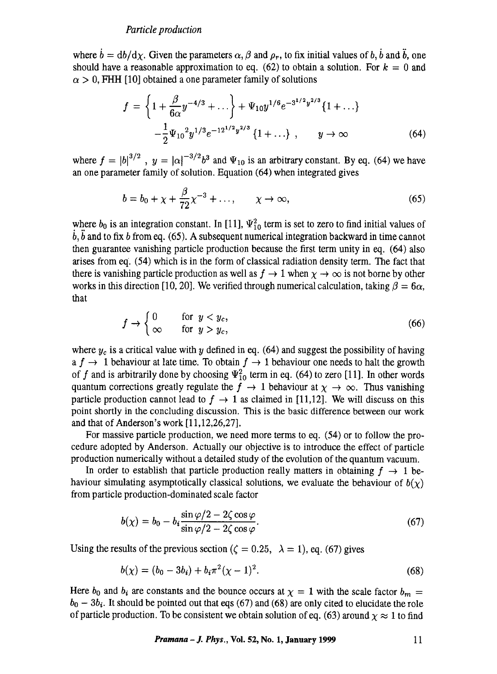where  $\dot{b} = db/d\chi$ . Given the parameters  $\alpha$ ,  $\beta$  and  $\rho_r$ , to fix initial values of b,  $\dot{b}$  and  $\ddot{b}$ , one should have a reasonable approximation to eq. (62) to obtain a solution. For  $k = 0$  and  $\alpha > 0$ , FHH [10] obtained a one parameter family of solutions

$$
f = \left\{ 1 + \frac{\beta}{6\alpha} y^{-4/3} + \dots \right\} + \Psi_{10} y^{1/6} e^{-3^{1/2} y^{2/3}} \{ 1 + \dots \}
$$

$$
- \frac{1}{2} \Psi_{10}^2 y^{1/3} e^{-12^{1/2} y^{2/3}} \{ 1 + \dots \} , \qquad y \to \infty
$$
(64)

where  $f = |b|^{3/2}$ ,  $y = |\alpha|^{-3/2}b^3$  and  $\Psi_{10}$  is an arbitrary constant. By eq. (64) we have an one parameter family of solution. Equation (64) when integrated gives

$$
b = b_0 + \chi + \frac{\beta}{72} \chi^{-3} + \dots, \qquad \chi \to \infty,
$$
 (65)

where  $b_0$  is an integration constant. In [11],  $\Psi_{10}^2$  term is set to zero to find initial values of  $\dot{b}$ ,  $\ddot{b}$  and to fix b from eq. (65). A subsequent numerical integration backward in time cannot then guarantee vanishing particle production because the first term unity in eq. (64) also arises from eq. (54) which is in the form of classical radiation density term. The fact that there is vanishing particle production as well as  $f \to 1$  when  $\chi \to \infty$  is not borne by other works in this direction [10, 20]. We verified through numerical calculation, taking  $\beta = 6\alpha$ , that

$$
f \to \begin{cases} 0 & \text{for } y < y_c, \\ \infty & \text{for } y > y_c, \end{cases} \tag{66}
$$

where  $y_c$  is a critical value with y defined in eq. (64) and suggest the possibility of having a  $f \to 1$  behaviour at late time. To obtain  $f \to 1$  behaviour one needs to halt the growth of f and is arbitrarily done by choosing  $\Psi_{10}^2$  term in eq. (64) to zero [11]. In other words quantum corrections greatly regulate the  $f \rightarrow 1$  behaviour at  $\chi \rightarrow \infty$ . Thus vanishing particle production cannot lead to  $f \rightarrow 1$  as claimed in [11,12]. We will discuss on this point shortly in the concluding discussion. This is the basic difference between our work and that of Anderson's work [11,12,26,27].

For massive particle production, we need more terms to eq. (54) or to follow the procedure adopted by Anderson. Actually our objective is to introduce the effect of particle production numerically without a detailed study of the evolution of the quantum vacuum.

In order to establish that particle production really matters in obtaining  $f \rightarrow 1$  behaviour simulating asymptotically classical solutions, we evaluate the behaviour of  $b(\gamma)$ from particle production-dominated scale factor

$$
b(\chi) = b_0 - b_i \frac{\sin \varphi/2 - 2\zeta \cos \varphi}{\sin \varphi/2 - 2\zeta \cos \varphi}.
$$
 (67)

Using the results of the previous section ( $\zeta = 0.25$ ,  $\lambda = 1$ ), eq. (67) gives

$$
b(\chi) = (b_0 - 3b_i) + b_i \pi^2 (\chi - 1)^2.
$$
 (68)

Here  $b_0$  and  $b_i$  are constants and the bounce occurs at  $\chi = 1$  with the scale factor  $b_m =$  $b_0 - 3b_i$ . It should be pointed out that eqs (67) and (68) are only cited to elucidate the role of particle production. To be consistent we obtain solution of eq. (63) around  $\chi \approx 1$  to find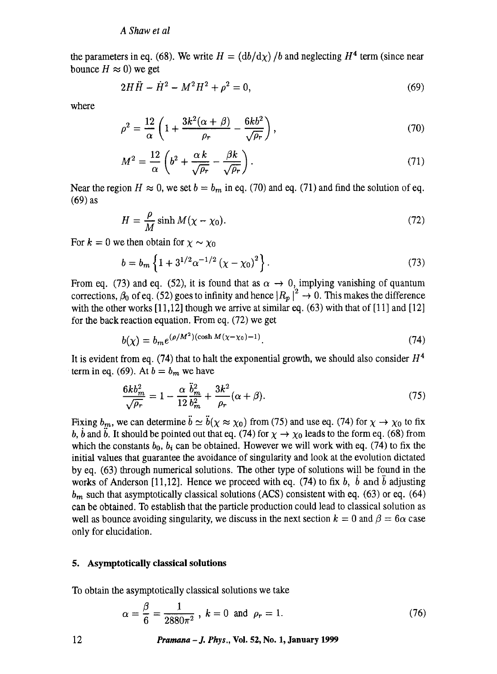the parameters in eq. (68). We write  $H = (db/dx)/b$  and neglecting  $H<sup>4</sup>$  term (since near bounce  $H \approx 0$ ) we get

$$
2H\ddot{H} - \dot{H}^2 - M^2H^2 + \rho^2 = 0,\tag{69}
$$

where

$$
\rho^2 = \frac{12}{\alpha} \left( 1 + \frac{3k^2(\alpha + \beta)}{\rho_r} - \frac{6kb^2}{\sqrt{\rho_r}} \right),\tag{70}
$$

$$
M^2 = \frac{12}{\alpha} \left( b^2 + \frac{\alpha k}{\sqrt{\rho_r}} - \frac{\beta k}{\sqrt{\rho_r}} \right). \tag{71}
$$

Near the region  $H \approx 0$ , we set  $b = b_m$  in eq. (70) and eq. (71) and find the solution of eq. (69) as

$$
H = \frac{\rho}{M} \sinh M(\chi - \chi_0). \tag{72}
$$

For  $k = 0$  we then obtain for  $\chi \sim \chi_0$ 

$$
b = b_m \left\{ 1 + 3^{1/2} \alpha^{-1/2} \left( \chi - \chi_0 \right)^2 \right\}.
$$
 (73)

From eq. (73) and eq. (52), it is found that as  $\alpha \rightarrow 0$ , implying vanishing of quantum corrections,  $\beta_0$  of eq. (52) goes to infinity and hence  $|R_p|^2 \rightarrow 0$ . This makes the difference with the other works  $[11,12]$  though we arrive at similar eq. (63) with that of  $[11]$  and  $[12]$ for the back reaction equation. From eq. (72) we get

$$
b(\chi) = b_m e^{(\rho/M^2)(\cosh M(\chi - \chi_0) - 1)}.
$$
\n(74)

It is evident from eq. (74) that to halt the exponential growth, we should also consider  $H<sup>4</sup>$ term in eq. (69). At  $b = b_m$  we have

$$
\frac{6kb_m^2}{\sqrt{\rho_r}} = 1 - \frac{\alpha}{12}\frac{\ddot{b}_m^2}{b_m^2} + \frac{3k^2}{\rho_r}(\alpha + \beta). \tag{75}
$$

Fixing  $b_m$ , we can determine  $\ddot{b} \simeq \ddot{b}(\chi \approx \chi_0)$  from (75) and use eq. (74) for  $\chi \to \chi_0$  to fix b, b and b. It should be pointed out that eq. (74) for  $\chi \to \chi_0$  leads to the form eq. (68) from which the constants  $b_0$ ,  $b_i$  can be obtained. However we will work with eq. (74) to fix the initial values that guarantee the avoidance of singularity and look at the evolution dictated by eq. (63) through numerical solutions. The other type of solutions will be found in the works of Anderson [11,12]. Hence we proceed with eq.  $(74)$  to fix b, b and b adjusting *bm* such that asymptotically classical solutions (ACS) consistent with eq. (63) or eq. (64) can be obtained. To establish that the particle production could lead to classical solution as well as bounce avoiding singularity, we discuss in the next section  $k = 0$  and  $\beta = 6\alpha$  case only for elucidation.

#### **5. Asymptotically classical solutions**

To obtain the asymptotically classical solutions we take

$$
\alpha = \frac{\beta}{6} = \frac{1}{2880\pi^2}
$$
,  $k = 0$  and  $\rho_r = 1$ . (76)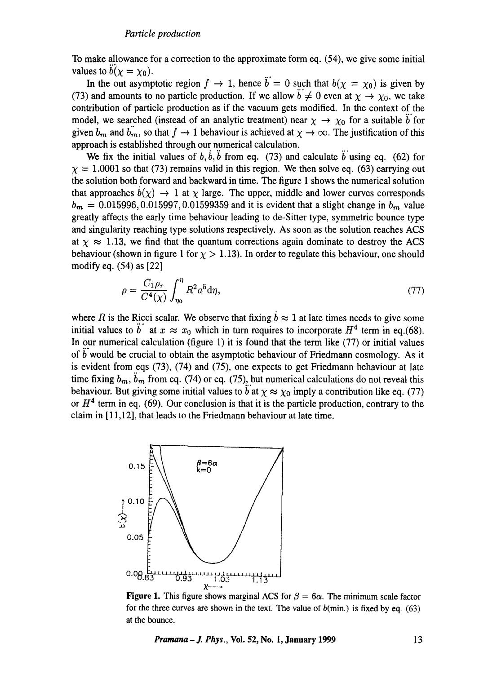To make allowance for a correction to the approximate form eq. (54), we give some initial values to  $b(x = x_0)$ .

In the out asymptotic region  $f \to 1$ , hence  $\ddot{b} = 0$  such that  $b(\chi = \chi_0)$  is given by (73) and amounts to no particle production. If we allow  $\ddot{b} \neq 0$  even at  $\chi \rightarrow \chi_0$ , we take contribution of particle production as if the vacuum gets modified. In the context of the model, we searched (instead of an analytic treatment) near  $\chi \rightarrow \chi_0$  for a suitable b for given  $b_m$  and  $b_m$ , so that  $f \to 1$  behaviour is achieved at  $\chi \to \infty$ . The justification of this approach is established through our numerical calculation.

We fix the initial values of  $b, \dot{b}, \ddot{b}$  from eq. (73) and calculate  $\ddot{b}$  using eq. (62) for  $\gamma = 1.0001$  so that (73) remains valid in this region. We then solve eq. (63) carrying out the solution both forward and backward in time. The figure 1 shows the numerical solution that approaches  $b(\chi) \to 1$  at  $\chi$  large. The upper, middle and lower curves corresponds  $b_m = 0.015996, 0.015997, 0.01599359$  and it is evident that a slight change in  $b_m$  value greatly affects the early time behaviour leading to de-Sitter type, symmetric bounce type and singularity reaching type solutions respectively. As soon as the solution reaches ACS at  $\chi \approx 1.13$ , we find that the quantum corrections again dominate to destroy the ACS behaviour (shown in figure 1 for  $\gamma > 1.13$ ). In order to regulate this behaviour, one should modify eq. (54) as [22]

$$
\rho = \frac{C_1 \rho_r}{C^4(\chi)} \int_{\eta_0}^{\eta} R^2 a^5 d\eta,
$$
\n(77)

where R is the Ricci scalar. We observe that fixing  $\dot{b} \approx 1$  at late times needs to give some initial values to  $\ddot{b}$  at  $x \approx x_0$  which in turn requires to incorporate  $H^4$  term in eq.(68). In our numerical calculation (figure l) it is found that the term like (77) or initial values of  $\overline{b}$  would be crucial to obtain the asymptotic behaviour of Friedmann cosmology. As it is evident from eqs (73), (74) and (75), one expects to get Friedmann behaviour at late time fixing  $b_m$ ,  $\ddot{b}_m$  from eq. (74) or eq. (75), but numerical calculations do not reveal this behaviour. But giving some initial values to  $\ddot{b}$  at  $\chi \approx \chi_0$  imply a contribution like eq. (77) or  $H<sup>4</sup>$  term in eq. (69). Our conclusion is that it is the particle production, contrary to the claim in [ 11,12], that leads to the Friedmann behaviour at late time.



**Figure 1.** This figure shows marginal ACS for  $\beta = 6\alpha$ . The minimum scale factor for the three curves are shown in the text. The value of  $b$ (min.) is fixed by eq. (63) at the bounce.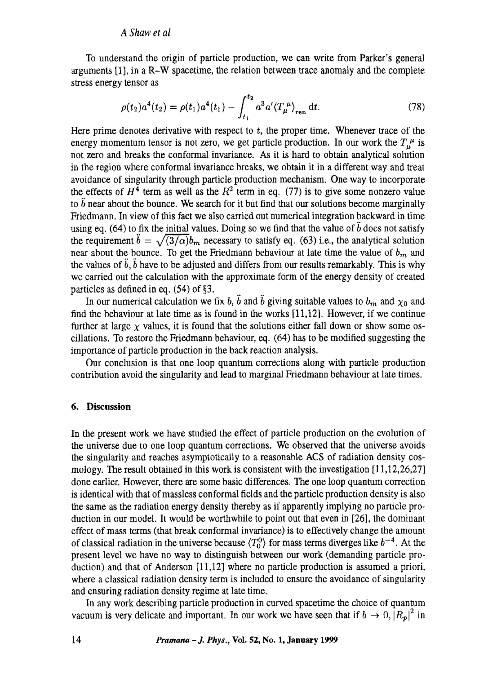To understand the origin of particle production, we can write from Parker's general arguments [1], in a R-W spacetime, the relation between trace anomaly and the complete stress energy tensor as

$$
\rho(t_2)a^4(t_2) = \rho(t_1)a^4(t_1) - \int_{t_1}^{t_2} a^3 a' \langle T_{\mu}^{\ \mu} \rangle_{\text{ren}} dt.
$$
\n(78)

Here prime denotes derivative with respect to  $t$ , the proper time. Whenever trace of the energy momentum tensor is not zero, we get particle production. In our work the  $T_{\mu}^{\mu}$  is not zero and breaks the conformal invariance. As it is hard to obtain analytical solution in the region where conformal invariance breaks, we obtain it in a different way and treat avoidance of singularity through particle production mechanism. One way to incorporate the effects of  $H<sup>4</sup>$  term as well as the  $R<sup>2</sup>$  term in eq. (77) is to give some nonzero value to  $\ddot{b}$  near about the bounce. We search for it but find that our solutions become marginally Friedmann. In view of this fact we also carried out numerical integration backward in time using eq. (64) to fix the initial values. Doing so we find that the value of  $\ddot{b}$  does not satisfy the requirement  $\ddot{b} = \sqrt{(3/\alpha)} b_m$  necessary to satisfy eq. (63) i.e., the analytical solution near about the bounce. To get the Friedmann behaviour at late time the value of *bm and*  the values of  $\ddot{b}$ ,  $\ddot{b}$  have to be adjusted and differs from our results remarkably. This is why we carried out the calculation with the approximate form of the energy density of created particles as defined in eq.  $(54)$  of §3.

In our numerical calculation we fix *b*,  $\ddot{b}$  and  $\ddot{b}$  giving suitable values to  $b_m$  and  $\chi_0$  and find the behaviour at late time as is found in the works [11,12]. However, if we continue further at large  $\chi$  values, it is found that the solutions either fall down or show some oscillations. To restore the Friedmann behaviour, eq. (64) has to be modified suggesting the importance of particle production in the back reaction analysis.

Our conclusion is that one loop quantum corrections along with particle production contribution avoid the singularity and lead to marginal Friedmann behaviour at late times.

## **6. Discussion**

In the present work we have studied the effect of particle production on the evolution of the universe due to one loop quantum corrections. We observed that the universe avoids the singularity and reaches asymptotically to a reasonable ACS of radiation density cosmology. The result obtained in this work is consistent with the investigation [11,12,26,27] done earlier. However, there are some basic differences. The one loop quantum correction is identical with that of massless conformal fields and the particle production density is also the same as the radiation energy density thereby as if apparently implying no particle production in our model. It would be worthwhile to point out that even in [26], the dominant effect of mass terms (that break conformal invariance) is to effectively change the amount of classical radiation in the universe because  $\langle T_0^0 \rangle$  for mass terms diverges like  $b^{-4}$ . At the present level we have no way to distinguish between our work (demanding particle production) and that of Anderson [11,12] where no particle production is assumed a priori, where a classical radiation density term is included to ensure the avoidance of singularity and ensuring radiation density regime at late time.

In any work describing particle production in curved spacetime the choice of quantum vacuum is very delicate and important. In our work we have seen that if  $b \to 0, |R_p|^2$  in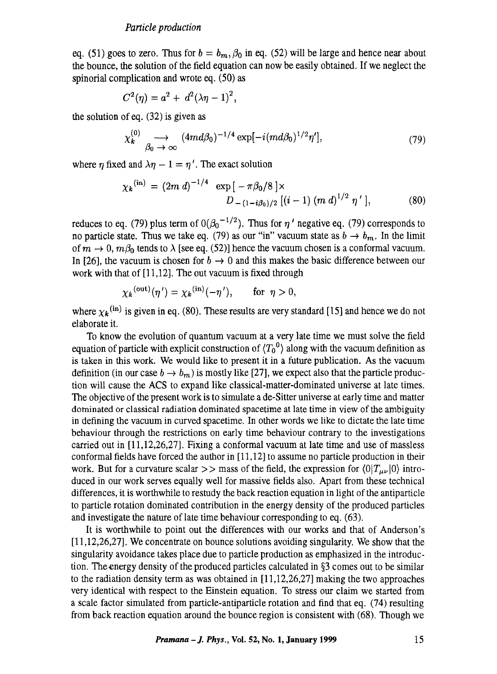eq. (51) goes to zero. Thus for  $b = b_m$ ,  $\beta_0$  in eq. (52) will be large and hence near about the bounce, the solution of the field equation can now be easily obtained. If we neglect the spinorial complication and wrote eq. (50) as

$$
C^{2}(\eta) = a^{2} + d^{2}(\lambda \eta - 1)^{2},
$$

the solution of eq. (32) is given as

$$
\chi_k^{(0)} \longrightarrow \text{(4md}\beta_0)^{-1/4} \exp[-i (md\beta_0)^{1/2} \eta'], \tag{79}
$$

where  $\eta$  fixed and  $\lambda \eta - 1 = \eta'$ . The exact solution

$$
\chi_k^{(\text{in})} = (2m \, d)^{-1/4} \, \exp\left[-\pi \beta_0/8\right] \times
$$
  
\n
$$
D_{-(1-i\beta_0)/2} \left[ (i-1) \, (m \, d)^{1/2} \, \eta' \right],\tag{80}
$$

reduces to eq. (79) plus term of  $0(\beta_0^{-1/2})$ . Thus for  $\eta'$  negative eq. (79) corresponds to no particle state. Thus we take eq. (79) as our "in" vacuum state as  $b \to b_m$ . In the limit of  $m \to 0$ ,  $m\beta_0$  tends to  $\lambda$  [see eq. (52)] hence the vacuum chosen is a conformal vacuum. In [26], the vacuum is chosen for  $b \to 0$  and this makes the basic difference between our work with that of [11,12]. The out vacuum is fixed through

$$
\chi_k^{(\text{out})}(\eta') = \chi_k^{(\text{in})}(-\eta'), \quad \text{for } \eta > 0,
$$

where  $\chi_k$ <sup>(in)</sup> is given in eq. (80). These results are very standard [15] and hence we do not elaborate it.

To know the evolution of quantum vacuum at a very late time we must solve the field equation of particle with explicit construction of  $\langle T_0^0 \rangle$  along with the vacuum definition as is taken in this work. We would like to present it in a future publication. As the vacuum definition (in our case  $b \to b_m$ ) is mostly like [27], we expect also that the particle production will cause the ACS to expand like classical-matter-dominated universe at late times. The objective of the present work is to simulate a de-Sitter universe at early time and matter dominated or classical radiation dominated spacetime at late time in view of the ambiguity in defining the vacuum in curved spacetime. In other words we like to dictate the late time behaviour through the restrictions on early time behaviour contrary to the investigations carried out in [11,12,26,27]. Fixing a conformal vacuum at late time and use of massless conformal fields have forced the author in [11,12] to assume no particle production in their work. But for a curvature scalar  $\gg$  mass of the field, the expression for  $\langle 0|T_{\mu\nu}|0\rangle$  introduced in our work serves equally well for massive fields also. Apart from these technical differences, it is worthwhile to restudy the back reaction equation in light of the antiparticle to particle rotation dominated contribution in the energy density of the produced particles and investigate the nature of late time behaviour corresponding to eq. (63).

It is worthwhile to point out the differences with our works and that of Anderson's [11,12,26,27]. We concentrate on bounce solutions avoiding singularity. We show that the singularity avoidance takes place due to particle production as emphasized in the introduction. The energy density of the produced particles calculated in  $\S$ 3 comes out to be similar to the radiation density term as was obtained in [11,12,26,27] making the two approaches very identical with respect to the Einstein equation. To stress our claim we started from a scale factor simulated from particle-antiparticle rotation and find that eq. (74) resulting from back reaction equation around the bounce region is consistent with (68). Though we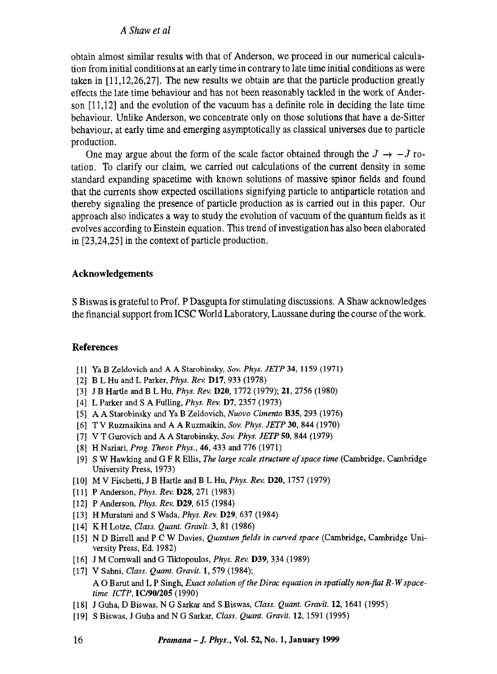obtain almost similar results with that of Anderson, we proceed in our numerical calculation from initial conditions at an early time in contrary to late time initial conditions as were taken in [11,12,26,27]. The new results we obtain are that the particle production greatly effects the late time behaviour and has not been reasonably tackled in the work of Anderson [11,12] and the evolution of the vacuum has a definite role in deciding the late time behaviour. Unlike Anderson, we concentrate only on those solutions that have a de-Sitter behaviour, at early time and emerging asymptotically as classical universes due to particle production.

One may argue about the form of the scale factor obtained through the  $J \rightarrow -J$  rotation. To clarify our claim, we carried out calculations of the current density in some standard expanding spacetime with known solutions of massive spinor fields and found that the currents show expected oscillations signifying particle to antiparticle rotation and thereby signaling the presence of particle production as is carried out in this paper. Our approach also indicates a way to study the evolution of vacuum of the quantum fields as it evolves according to Einstein equation. This trend of investigation has also been elaborated in [23,24,25] in the context of particle production.

# **Acknowledgements**

S Biswas is grateful to Prof. P Dasgupta for stimulating discussions. A Shaw acknowledges the financial support from ICSC World Laboratory, Laussane during the course of the work.

# **References**

- [l] YaB Zeldovich and A A Starobinsky, *Soy. Phys.* JETP 34, 1159 (1971)
- [2] B L Hu and L Parker, *Phys. Rev.* D17, 933 (1978)
- [3] J B Hartle and B L Hu, *Phys. Rev.* D20, 1772 (1979); 21, 2756 (1980)
- [4] L Parker and S A Fulling, *Phys. Rev.* D7, 2357 (1973)
- [5] A A Starobinsky and Ya B Zetdovich, *Nuovo Cimento* B35, 293 (1976)
- [6] T V Ruzmaikina and A A Ruzmaikin, *Sov. Phys. JETP* 30, 844 (1970)
- [7] V T Gurovich and A A Starobinsky, *Sov. Phys. JETP* 50, 844 (1979)
- [8] H Nariari, *Prog. Theor. Phys.,* 46, 433 and 776 (1971)
- [9] S W Hawking and G F R Ellis, *The large scale structure of space time* (Cambridge, Cambridge University Press, 1973)
- [10] MV Fischetti, J B Hartle and B L Hu, *Phys. Rev.* D20, 1757 (1979)
- [11] P Anderson, *Phys. Rev.* D28, 271 (1983)
- [12] P Anderson, *Phys. Rev.* D29, 615 (1984)
- [13] H Muratani and S Wada, *Phys. Rev.* D29, 637 (1984)
- [14] KH Lotze, *Class. Quant. Gravit.* 3, 81 (1986)
- [15] N D Birrell and P C W Davies, *Quantum fields in curved space* (Cambridge, Cambridge University Press, Ed. 1982)
- [16] J M Cornwall and G 'fiktopoulos, *Phys. Rev.* D39, 334 (1989)
- [17] V Sahni, *Class. Quant. Gravit.* 1,579 (1984); A O Barut and L P Singh, *Exact solution of the Dirac equation in spatially non-flat R-Wspacetime ICTP,* IC/90/205 (1990)
- [18] J Guha, D Biswas, N G Sarkar and S Biswas, *Class. Quant. Gravit.* 12, 1641 (1995)
- [19] S Biswas, J Guha and N G Sarkar, *Class. Quant. Gravit.* 12, 1591 (1995)